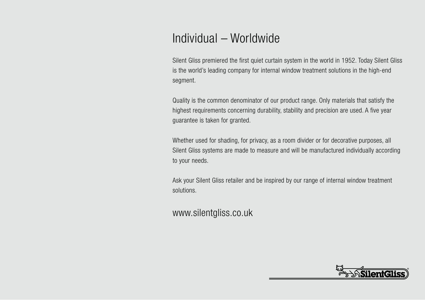# Individual – Worldwide

Silent Gliss premiered the first quiet curtain system in the world in 1952. Today Silent Gliss is the world's leading company for internal window treatment solutions in the high-end segment.

Quality is the common denominator of our product range. Only materials that satisfy the highest requirements concerning durability, stability and precision are used. A five year guarantee is taken for granted.

Whether used for shading, for privacy, as a room divider or for decorative purposes, all Silent Gliss systems are made to measure and will be manufactured individually according to your needs.

Ask your Silent Gliss retailer and be inspired by our range of internal window treatment solutions.

www.silentgliss.co.uk

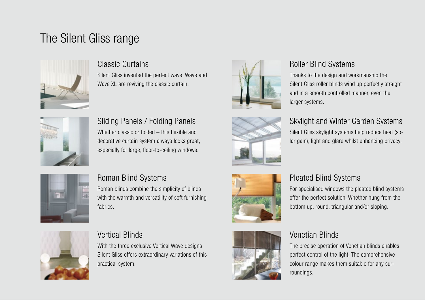# The Silent Gliss range



### Classic Curtains

Silent Gliss invented the perfect wave. Wave and Wave XL are reviving the classic curtain.



Sliding Panels / Folding Panels Whether classic or folded – this flexible and decorative curtain system always looks great, especially for large, floor-to-ceiling windows.





## Roller Blind Systems

Thanks to the design and workmanship the Silent Gliss roller blinds wind up perfectly straight and in a smooth controlled manner, even the larger systems.

## Skylight and Winter Garden Systems

Silent Gliss skylight systems help reduce heat (solar gain), light and glare whilst enhancing privacy.



#### Roman Blind Systems

Roman blinds combine the simplicity of blinds with the warmth and versatility of soft furnishing fabrics.



## Pleated Blind Systems

For specialised windows the pleated blind systems offer the perfect solution. Whether hung from the bottom up, round, triangular and/or sloping.



#### Vertical Blinds

With the three exclusive Vertical Wave designs Silent Gliss offers extraordinary variations of this practical system.

### Venetian Blinds

The precise operation of Venetian blinds enables perfect control of the light. The comprehensive colour range makes them suitable for any surroundings.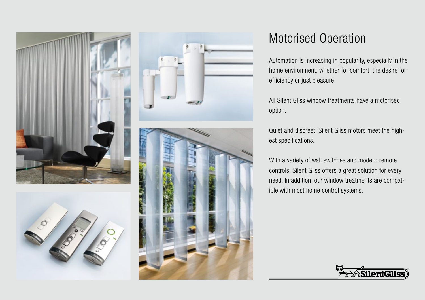



# Motorised Operation

Automation is increasing in popularity, especially in the home environment, whether for comfort, the desire for efficiency or just pleasure.

All Silent Gliss window treatments have a motorised option.

Quiet and discreet. Silent Gliss motors meet the highest specifications.

With a variety of wall switches and modern remote controls, Silent Gliss offers a great solution for every need. In addition, our window treatments are compatible with most home control systems.